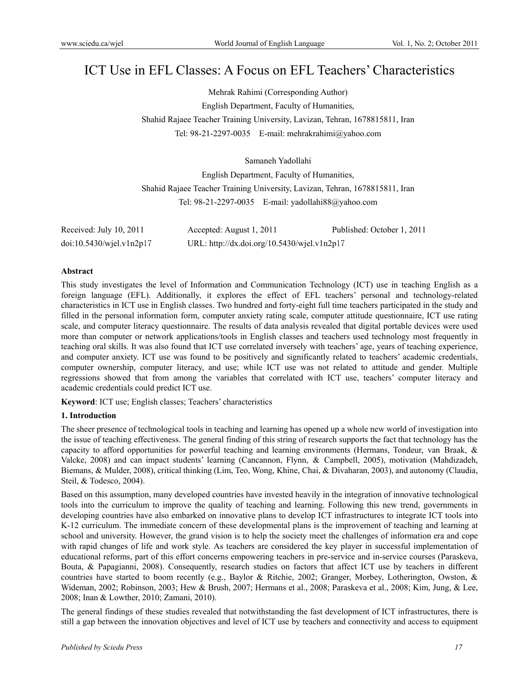# ICT Use in EFL Classes: A Focus on EFL Teachers' Characteristics

Mehrak Rahimi (Corresponding Author) English Department, Faculty of Humanities, Shahid Rajaee Teacher Training University, Lavizan, Tehran, 1678815811, Iran Tel: 98-21-2297-0035 E-mail: mehrakrahimi@yahoo.com

Samaneh Yadollahi

English Department, Faculty of Humanities, Shahid Rajaee Teacher Training University, Lavizan, Tehran, 1678815811, Iran Tel: 98-21-2297-0035 E-mail: yadollahi88@yahoo.com

| Received: July 10, 2011        | Accepted: August 1, 2011                    | Published: October 1, 2011 |
|--------------------------------|---------------------------------------------|----------------------------|
| $doi:10.5430/w$ jel.v $1n2p17$ | URL: http://dx.doi.org/10.5430/wjel.v1n2p17 |                            |

#### **Abstract**

This study investigates the level of Information and Communication Technology (ICT) use in teaching English as a foreign language (EFL). Additionally, it explores the effect of EFL teachers' personal and technology-related characteristics in ICT use in English classes. Two hundred and forty-eight full time teachers participated in the study and filled in the personal information form, computer anxiety rating scale, computer attitude questionnaire, ICT use rating scale, and computer literacy questionnaire. The results of data analysis revealed that digital portable devices were used more than computer or network applications/tools in English classes and teachers used technology most frequently in teaching oral skills. It was also found that ICT use correlated inversely with teachers' age, years of teaching experience, and computer anxiety. ICT use was found to be positively and significantly related to teachers' academic credentials, computer ownership, computer literacy, and use; while ICT use was not related to attitude and gender. Multiple regressions showed that from among the variables that correlated with ICT use, teachers' computer literacy and academic credentials could predict ICT use.

**Keyword**: ICT use; English classes; Teachers' characteristics

# **1. Introduction**

The sheer presence of technological tools in teaching and learning has opened up a whole new world of investigation into the issue of teaching effectiveness. The general finding of this string of research supports the fact that technology has the capacity to afford opportunities for powerful teaching and learning environments (Hermans, Tondeur, van Braak, & Valcke, 2008) and can impact students' learning (Cancannon, Flynn, & Campbell, 2005), motivation (Mahdizadeh, Biemans, & Mulder, 2008), critical thinking (Lim, Teo, Wong, Khine, Chai, & Divaharan, 2003), and autonomy (Claudia, Steil, & Todesco, 2004).

Based on this assumption, many developed countries have invested heavily in the integration of innovative technological tools into the curriculum to improve the quality of teaching and learning. Following this new trend, governments in developing countries have also embarked on innovative plans to develop ICT infrastructures to integrate ICT tools into K-12 curriculum. The immediate concern of these developmental plans is the improvement of teaching and learning at school and university. However, the grand vision is to help the society meet the challenges of information era and cope with rapid changes of life and work style. As teachers are considered the key player in successful implementation of educational reforms, part of this effort concerns empowering teachers in pre-service and in-service courses (Paraskeva, Bouta, & Papagianni, 2008). Consequently, research studies on factors that affect ICT use by teachers in different countries have started to boom recently (e.g., Baylor & Ritchie, 2002; Granger, Morbey, Lotherington, Owston, & Wideman, 2002; Robinson, 2003; Hew & Brush, 2007; Hermans et al., 2008; Paraskeva et al., 2008; Kim, Jung, & Lee, 2008; Inan & Lowther, 2010; Zamani, 2010).

The general findings of these studies revealed that notwithstanding the fast development of ICT infrastructures, there is still a gap between the innovation objectives and level of ICT use by teachers and connectivity and access to equipment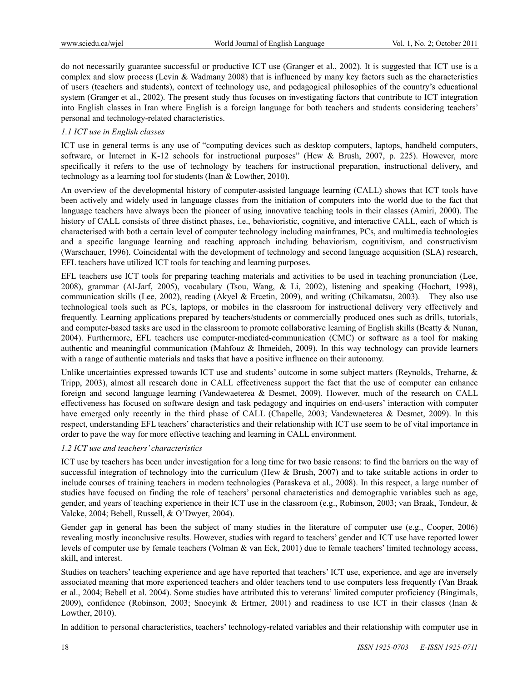do not necessarily guarantee successful or productive ICT use (Granger et al., 2002). It is suggested that ICT use is a complex and slow process (Levin & Wadmany 2008) that is influenced by many key factors such as the characteristics of users (teachers and students), context of technology use, and pedagogical philosophies of the country's educational system (Granger et al., 2002). The present study thus focuses on investigating factors that contribute to ICT integration into English classes in Iran where English is a foreign language for both teachers and students considering teachers' personal and technology-related characteristics.

# *1.1 ICT use in English classes*

ICT use in general terms is any use of "computing devices such as desktop computers, laptops, handheld computers, software, or Internet in K-12 schools for instructional purposes" (Hew & Brush, 2007, p. 225). However, more specifically it refers to the use of technology by teachers for instructional preparation, instructional delivery, and technology as a learning tool for students (Inan & Lowther, 2010).

An overview of the developmental history of computer-assisted language learning (CALL) shows that ICT tools have been actively and widely used in language classes from the initiation of computers into the world due to the fact that language teachers have always been the pioneer of using innovative teaching tools in their classes (Amiri, 2000). The history of CALL consists of three distinct phases, i.e., behavioristic, cognitive, and interactive CALL, each of which is characterised with both a certain level of computer technology including mainframes, PCs, and multimedia technologies and a specific language learning and teaching approach including behaviorism, cognitivism, and constructivism (Warschauer, 1996). Coincidental with the development of technology and second language acquisition (SLA) research, EFL teachers have utilized ICT tools for teaching and learning purposes.

EFL teachers use ICT tools for preparing teaching materials and activities to be used in teaching pronunciation (Lee, 2008), grammar (Al-Jarf, 2005), vocabulary (Tsou, Wang, & Li, 2002), listening and speaking (Hochart, 1998), communication skills (Lee, 2002), reading (Akyel & Ercetin, 2009), and writing (Chikamatsu, 2003). They also use technological tools such as PCs, laptops, or mobiles in the classroom for instructional delivery very effectively and frequently. Learning applications prepared by teachers/students or commercially produced ones such as drills, tutorials, and computer-based tasks are used in the classroom to promote collaborative learning of English skills (Beatty & Nunan, 2004). Furthermore, EFL teachers use computer-mediated-communication (CMC) or software as a tool for making authentic and meaningful communication (Mahfouz & Ihmeideh, 2009). In this way technology can provide learners with a range of authentic materials and tasks that have a positive influence on their autonomy.

Unlike uncertainties expressed towards ICT use and students' outcome in some subject matters (Reynolds, Treharne, & Tripp, 2003), almost all research done in CALL effectiveness support the fact that the use of computer can enhance foreign and second language learning (Vandewaeterea & Desmet, 2009). However, much of the research on CALL effectiveness has focused on software design and task pedagogy and inquiries on end-users' interaction with computer have emerged only recently in the third phase of CALL (Chapelle, 2003; Vandewaeterea & Desmet, 2009). In this respect, understanding EFL teachers' characteristics and their relationship with ICT use seem to be of vital importance in order to pave the way for more effective teaching and learning in CALL environment.

## *1.2 ICT use and teachers' characteristics*

ICT use by teachers has been under investigation for a long time for two basic reasons: to find the barriers on the way of successful integration of technology into the curriculum (Hew & Brush, 2007) and to take suitable actions in order to include courses of training teachers in modern technologies (Paraskeva et al., 2008). In this respect, a large number of studies have focused on finding the role of teachers' personal characteristics and demographic variables such as age, gender, and years of teaching experience in their ICT use in the classroom (e.g., Robinson, 2003; van Braak, Tondeur, & Valcke, 2004; Bebell, Russell, & O'Dwyer, 2004).

Gender gap in general has been the subject of many studies in the literature of computer use (e.g., Cooper, 2006) revealing mostly inconclusive results. However, studies with regard to teachers' gender and ICT use have reported lower levels of computer use by female teachers (Volman & van Eck, 2001) due to female teachers' limited technology access, skill, and interest.

Studies on teachers' teaching experience and age have reported that teachers' ICT use, experience, and age are inversely associated meaning that more experienced teachers and older teachers tend to use computers less frequently (Van Braak et al., 2004; Bebell et al. 2004). Some studies have attributed this to veterans' limited computer proficiency (Bingimals, 2009), confidence (Robinson, 2003; Snoeyink & Ertmer, 2001) and readiness to use ICT in their classes (Inan & Lowther, 2010).

In addition to personal characteristics, teachers' technology-related variables and their relationship with computer use in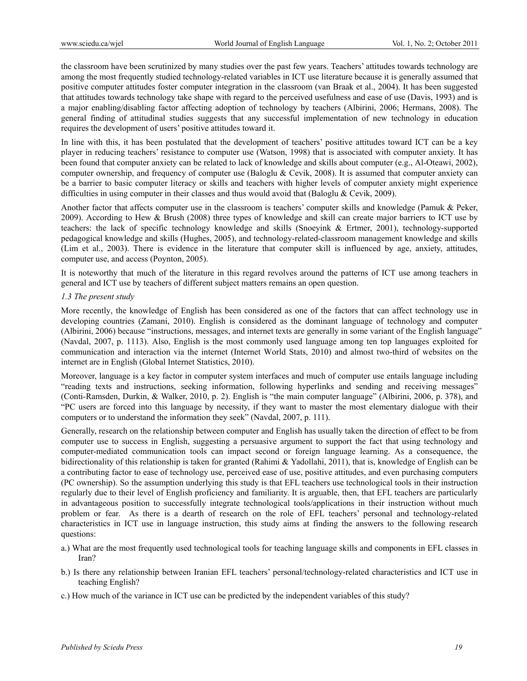the classroom have been scrutinized by many studies over the past few years. Teachers' attitudes towards technology are among the most frequently studied technology-related variables in ICT use literature because it is generally assumed that positive computer attitudes foster computer integration in the classroom (van Braak et al., 2004). It has been suggested that attitudes towards technology take shape with regard to the perceived usefulness and ease of use (Davis, 1993) and is a major enabling/disabling factor affecting adoption of technology by teachers (Albirini, 2006; Hermans, 2008). The general finding of attitudinal studies suggests that any successful implementation of new technology in education requires the development of users' positive attitudes toward it.

In line with this, it has been postulated that the development of teachers' positive attitudes toward ICT can be a key player in reducing teachers' resistance to computer use (Watson, 1998) that is associated with computer anxiety. It has been found that computer anxiety can be related to lack of knowledge and skills about computer (e.g., Al-Oteawi, 2002), computer ownership, and frequency of computer use (Baloglu & Cevik, 2008). It is assumed that computer anxiety can be a barrier to basic computer literacy or skills and teachers with higher levels of computer anxiety might experience difficulties in using computer in their classes and thus would avoid that (Baloglu & Cevik, 2009).

Another factor that affects computer use in the classroom is teachers' computer skills and knowledge (Pamuk & Peker, 2009). According to Hew & Brush (2008) three types of knowledge and skill can create major barriers to ICT use by teachers: the lack of specific technology knowledge and skills (Snoeyink & Ertmer, 2001), technology-supported pedagogical knowledge and skills (Hughes, 2005), and technology-related-classroom management knowledge and skills (Lim et al., 2003). There is evidence in the literature that computer skill is influenced by age, anxiety, attitudes, computer use, and access (Poynton, 2005).

It is noteworthy that much of the literature in this regard revolves around the patterns of ICT use among teachers in general and ICT use by teachers of different subject matters remains an open question.

## *1.3 The present study*

More recently, the knowledge of English has been considered as one of the factors that can affect technology use in developing countries (Zamani, 2010). English is considered as the dominant language of technology and computer (Albirini, 2006) because "instructions, messages, and internet texts are generally in some variant of the English language" (Navdal, 2007, p. 1113). Also, English is the most commonly used language among ten top languages exploited for communication and interaction via the internet (Internet World Stats, 2010) and almost two-third of websites on the internet are in English (Global Internet Statistics, 2010).

Moreover, language is a key factor in computer system interfaces and much of computer use entails language including "reading texts and instructions, seeking information, following hyperlinks and sending and receiving messages" (Conti-Ramsden, Durkin, & Walker, 2010, p. 2). English is "the main computer language" (Albirini, 2006, p. 378), and "PC users are forced into this language by necessity, if they want to master the most elementary dialogue with their computers or to understand the information they seek" (Navdal, 2007, p. 111).

Generally, research on the relationship between computer and English has usually taken the direction of effect to be from computer use to success in English, suggesting a persuasive argument to support the fact that using technology and computer-mediated communication tools can impact second or foreign language learning. As a consequence, the bidirectionality of this relationship is taken for granted (Rahimi & Yadollahi, 2011), that is, knowledge of English can be a contributing factor to ease of technology use, perceived ease of use, positive attitudes, and even purchasing computers (PC ownership). So the assumption underlying this study is that EFL teachers use technological tools in their instruction regularly due to their level of English proficiency and familiarity. It is arguable, then, that EFL teachers are particularly in advantageous position to successfully integrate technological tools/applications in their instruction without much problem or fear. As there is a dearth of research on the role of EFL teachers' personal and technology-related characteristics in ICT use in language instruction, this study aims at finding the answers to the following research questions:

- a.) What are the most frequently used technological tools for teaching language skills and components in EFL classes in Iran?
- b.) Is there any relationship between Iranian EFL teachers' personal/technology-related characteristics and ICT use in teaching English?
- c.) How much of the variance in ICT use can be predicted by the independent variables of this study?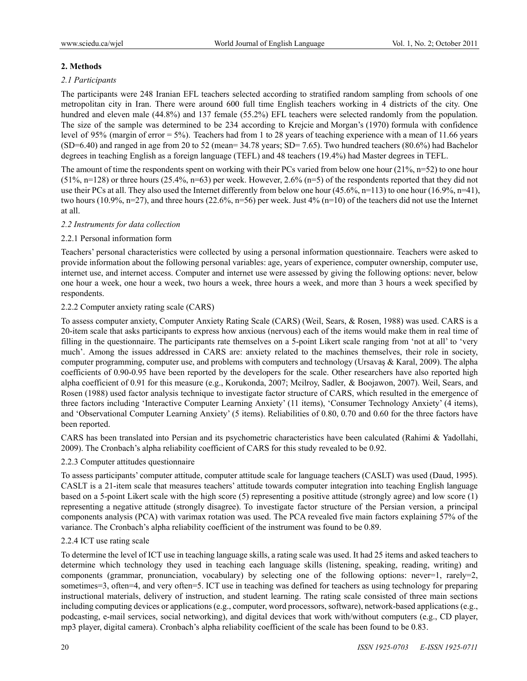# **2. Methods**

# *2.1 Participants*

The participants were 248 Iranian EFL teachers selected according to stratified random sampling from schools of one metropolitan city in Iran. There were around 600 full time English teachers working in 4 districts of the city. One hundred and eleven male (44.8%) and 137 female (55.2%) EFL teachers were selected randomly from the population. The size of the sample was determined to be 234 according to Krejcie and Morgan's (1970) formula with confidence level of 95% (margin of error = 5%). Teachers had from 1 to 28 years of teaching experience with a mean of 11.66 years (SD=6.40) and ranged in age from 20 to 52 (mean= 34.78 years; SD= 7.65). Two hundred teachers (80.6%) had Bachelor degrees in teaching English as a foreign language (TEFL) and 48 teachers (19.4%) had Master degrees in TEFL.

The amount of time the respondents spent on working with their PCs varied from below one hour  $(21\%, n=52)$  to one hour  $(51\%, n=128)$  or three hours  $(25.4\%, n=63)$  per week. However,  $2.6\%$   $(n=5)$  of the respondents reported that they did not use their PCs at all. They also used the Internet differently from below one hour  $(45.6\%$ , n=113) to one hour  $(16.9\%$ , n=41), two hours (10.9%, n=27), and three hours (22.6%, n=56) per week. Just 4% (n=10) of the teachers did not use the Internet at all.

## *2.2 Instruments for data collection*

# 2.2.1 Personal information form

Teachers' personal characteristics were collected by using a personal information questionnaire. Teachers were asked to provide information about the following personal variables: age, years of experience, computer ownership, computer use, internet use, and internet access. Computer and internet use were assessed by giving the following options: never, below one hour a week, one hour a week, two hours a week, three hours a week, and more than 3 hours a week specified by respondents.

## 2.2.2 Computer anxiety rating scale (CARS)

To assess computer anxiety, Computer Anxiety Rating Scale (CARS) (Weil, Sears, & Rosen, 1988) was used. CARS is a 20-item scale that asks participants to express how anxious (nervous) each of the items would make them in real time of filling in the questionnaire. The participants rate themselves on a 5-point Likert scale ranging from 'not at all' to 'very much'. Among the issues addressed in CARS are: anxiety related to the machines themselves, their role in society, computer programming, computer use, and problems with computers and technology (Ursavaş & Karal, 2009). The alpha coefficients of 0.90-0.95 have been reported by the developers for the scale. Other researchers have also reported high alpha coefficient of 0.91 for this measure (e.g., Korukonda, 2007; Mcilroy, Sadler, & Boojawon, 2007). Weil, Sears, and Rosen (1988) used factor analysis technique to investigate factor structure of CARS, which resulted in the emergence of three factors including 'Interactive Computer Learning Anxiety' (11 items), 'Consumer Technology Anxiety' (4 items), and 'Observational Computer Learning Anxiety' (5 items). Reliabilities of 0.80, 0.70 and 0.60 for the three factors have been reported.

CARS has been translated into Persian and its psychometric characteristics have been calculated (Rahimi & Yadollahi, 2009). The Cronbach's alpha reliability coefficient of CARS for this study revealed to be 0.92.

## 2.2.3 Computer attitudes questionnaire

To assess participants' computer attitude, computer attitude scale for language teachers (CASLT) was used (Daud, 1995). CASLT is a 21-item scale that measures teachers' attitude towards computer integration into teaching English language based on a 5-point Likert scale with the high score (5) representing a positive attitude (strongly agree) and low score (1) representing a negative attitude (strongly disagree). To investigate factor structure of the Persian version, a principal components analysis (PCA) with varimax rotation was used. The PCA revealed five main factors explaining 57% of the variance. The Cronbach's alpha reliability coefficient of the instrument was found to be 0.89.

## 2.2.4 ICT use rating scale

To determine the level of ICT use in teaching language skills, a rating scale was used. It had 25 items and asked teachers to determine which technology they used in teaching each language skills (listening, speaking, reading, writing) and components (grammar, pronunciation, vocabulary) by selecting one of the following options: never=1, rarely=2, sometimes=3, often=4, and very often=5. ICT use in teaching was defined for teachers as using technology for preparing instructional materials, delivery of instruction, and student learning. The rating scale consisted of three main sections including computing devices or applications (e.g., computer, word processors, software), network-based applications (e.g., podcasting, e-mail services, social networking), and digital devices that work with/without computers (e.g., CD player, mp3 player, digital camera). Cronbach's alpha reliability coefficient of the scale has been found to be 0.83.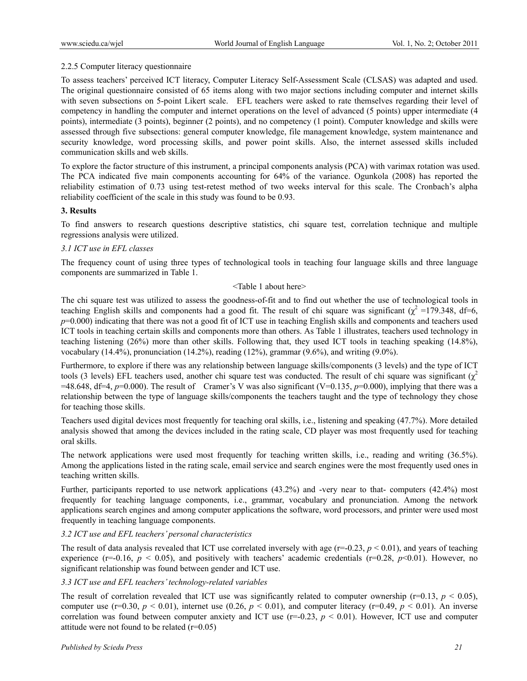## 2.2.5 Computer literacy questionnaire

To assess teachers' perceived ICT literacy, Computer Literacy Self-Assessment Scale (CLSAS) was adapted and used. The original questionnaire consisted of 65 items along with two major sections including computer and internet skills with seven subsections on 5-point Likert scale. EFL teachers were asked to rate themselves regarding their level of competency in handling the computer and internet operations on the level of advanced (5 points) upper intermediate (4 points), intermediate (3 points), beginner (2 points), and no competency (1 point). Computer knowledge and skills were assessed through five subsections: general computer knowledge, file management knowledge, system maintenance and security knowledge, word processing skills, and power point skills. Also, the internet assessed skills included communication skills and web skills.

To explore the factor structure of this instrument, a principal components analysis (PCA) with varimax rotation was used. The PCA indicated five main components accounting for 64% of the variance. Ogunkola (2008) has reported the reliability estimation of 0.73 using test-retest method of two weeks interval for this scale. The Cronbach's alpha reliability coefficient of the scale in this study was found to be 0.93.

#### **3. Results**

To find answers to research questions descriptive statistics, chi square test, correlation technique and multiple regressions analysis were utilized.

#### *3.1 ICT use in EFL classes*

The frequency count of using three types of technological tools in teaching four language skills and three language components are summarized in Table 1.

#### <Table 1 about here>

The chi square test was utilized to assess the goodness-of-fit and to find out whether the use of technological tools in teaching English skills and components had a good fit. The result of chi square was significant  $(\chi^2 = 179.348, df = 6,$  $p=0.000$ ) indicating that there was not a good fit of ICT use in teaching English skills and components and teachers used ICT tools in teaching certain skills and components more than others. As Table 1 illustrates, teachers used technology in teaching listening (26%) more than other skills. Following that, they used ICT tools in teaching speaking (14.8%), vocabulary  $(14.4\%)$ , pronunciation  $(14.2\%)$ , reading  $(12\%)$ , grammar  $(9.6\%)$ , and writing  $(9.0\%)$ .

Furthermore, to explore if there was any relationship between language skills/components (3 levels) and the type of ICT tools (3 levels) EFL teachers used, another chi square test was conducted. The result of chi square was significant ( $\chi^2$  $=48.648$ , df = 4, p=0.000). The result of Cramer's V was also significant (V=0.135, p=0.000), implying that there was a relationship between the type of language skills/components the teachers taught and the type of technology they chose for teaching those skills.

Teachers used digital devices most frequently for teaching oral skills, i.e., listening and speaking (47.7%). More detailed analysis showed that among the devices included in the rating scale, CD player was most frequently used for teaching oral skills.

The network applications were used most frequently for teaching written skills, i.e., reading and writing (36.5%). Among the applications listed in the rating scale, email service and search engines were the most frequently used ones in teaching written skills.

Further, participants reported to use network applications (43.2%) and -very near to that- computers (42.4%) most frequently for teaching language components, i.e., grammar, vocabulary and pronunciation. Among the network applications search engines and among computer applications the software, word processors, and printer were used most frequently in teaching language components.

# *3.2 ICT use and EFL teachers' personal characteristics*

The result of data analysis revealed that ICT use correlated inversely with age  $(r=-0.23, p<0.01)$ , and years of teaching experience ( $r=0.16$ ,  $p < 0.05$ ), and positively with teachers' academic credentials ( $r=0.28$ ,  $p<0.01$ ). However, no significant relationship was found between gender and ICT use.

# *3.3 ICT use and EFL teachers' technology-related variables*

The result of correlation revealed that ICT use was significantly related to computer ownership ( $r=0.13$ ,  $p < 0.05$ ), computer use  $(r=0.30, p \le 0.01)$ , internet use  $(0.26, p \le 0.01)$ , and computer literacy  $(r=0.49, p \le 0.01)$ . An inverse correlation was found between computer anxiety and ICT use  $(r=0.23, p < 0.01)$ . However, ICT use and computer attitude were not found to be related  $(r=0.05)$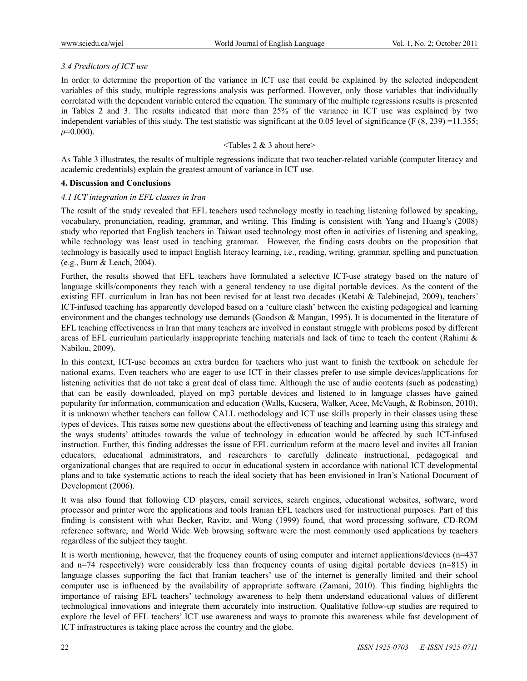# *3.4 Predictors of ICT use*

In order to determine the proportion of the variance in ICT use that could be explained by the selected independent variables of this study, multiple regressions analysis was performed. However, only those variables that individually correlated with the dependent variable entered the equation. The summary of the multiple regressions results is presented in Tables 2 and 3. The results indicated that more than 25% of the variance in ICT use was explained by two independent variables of this study. The test statistic was significant at the 0.05 level of significance (F  $(8, 239) = 11.355$ ; *p*=0.000).

# $\leq$ Tables 2 & 3 about here $\geq$

As Table 3 illustrates, the results of multiple regressions indicate that two teacher-related variable (computer literacy and academic credentials) explain the greatest amount of variance in ICT use.

## **4. Discussion and Conclusions**

#### *4.1 ICT integration in EFL classes in Iran*

The result of the study revealed that EFL teachers used technology mostly in teaching listening followed by speaking, vocabulary, pronunciation, reading, grammar, and writing. This finding is consistent with Yang and Huang's (2008) study who reported that English teachers in Taiwan used technology most often in activities of listening and speaking, while technology was least used in teaching grammar. However, the finding casts doubts on the proposition that technology is basically used to impact English literacy learning, i.e., reading, writing, grammar, spelling and punctuation (e.g., Burn & Leach, 2004).

Further, the results showed that EFL teachers have formulated a selective ICT-use strategy based on the nature of language skills/components they teach with a general tendency to use digital portable devices. As the content of the existing EFL curriculum in Iran has not been revised for at least two decades (Ketabi & Talebinejad, 2009), teachers' ICT-infused teaching has apparently developed based on a 'culture clash' between the existing pedagogical and learning environment and the changes technology use demands (Goodson & Mangan, 1995). It is documented in the literature of EFL teaching effectiveness in Iran that many teachers are involved in constant struggle with problems posed by different areas of EFL curriculum particularly inappropriate teaching materials and lack of time to teach the content (Rahimi & Nabilou, 2009).

In this context, ICT-use becomes an extra burden for teachers who just want to finish the textbook on schedule for national exams. Even teachers who are eager to use ICT in their classes prefer to use simple devices/applications for listening activities that do not take a great deal of class time. Although the use of audio contents (such as podcasting) that can be easily downloaded, played on mp3 portable devices and listened to in language classes have gained popularity for information, communication and education (Walls, Kucsera, Walker, Acee, McVaugh, & Robinson, 2010), it is unknown whether teachers can follow CALL methodology and ICT use skills properly in their classes using these types of devices. This raises some new questions about the effectiveness of teaching and learning using this strategy and the ways students' attitudes towards the value of technology in education would be affected by such ICT-infused instruction. Further, this finding addresses the issue of EFL curriculum reform at the macro level and invites all Iranian educators, educational administrators, and researchers to carefully delineate instructional, pedagogical and organizational changes that are required to occur in educational system in accordance with national ICT developmental plans and to take systematic actions to reach the ideal society that has been envisioned in Iran's National Document of Development (2006).

It was also found that following CD players, email services, search engines, educational websites, software, word processor and printer were the applications and tools Iranian EFL teachers used for instructional purposes. Part of this finding is consistent with what Becker, Ravitz, and Wong (1999) found, that word processing software, CD-ROM reference software, and World Wide Web browsing software were the most commonly used applications by teachers regardless of the subject they taught.

It is worth mentioning, however, that the frequency counts of using computer and internet applications/devices (n=437 and n=74 respectively) were considerably less than frequency counts of using digital portable devices (n=815) in language classes supporting the fact that Iranian teachers' use of the internet is generally limited and their school computer use is influenced by the availability of appropriate software (Zamani, 2010). This finding highlights the importance of raising EFL teachers' technology awareness to help them understand educational values of different technological innovations and integrate them accurately into instruction. Qualitative follow-up studies are required to explore the level of EFL teachers' ICT use awareness and ways to promote this awareness while fast development of ICT infrastructures is taking place across the country and the globe.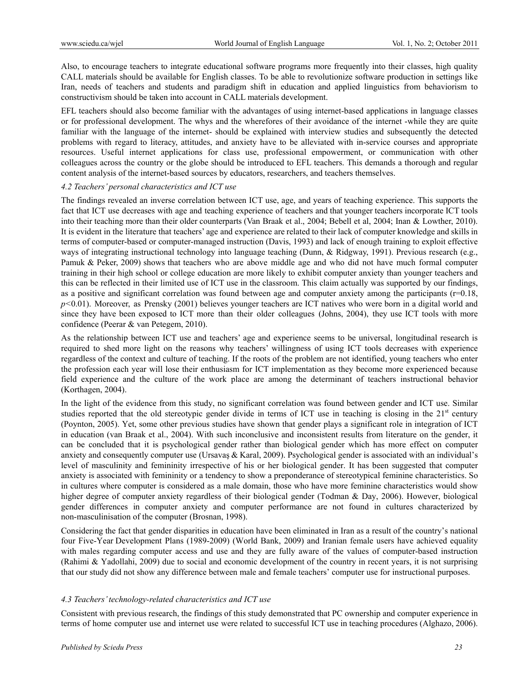Also, to encourage teachers to integrate educational software programs more frequently into their classes, high quality CALL materials should be available for English classes. To be able to revolutionize software production in settings like Iran, needs of teachers and students and paradigm shift in education and applied linguistics from behaviorism to constructivism should be taken into account in CALL materials development.

EFL teachers should also become familiar with the advantages of using internet-based applications in language classes or for professional development. The whys and the wherefores of their avoidance of the internet -while they are quite familiar with the language of the internet- should be explained with interview studies and subsequently the detected problems with regard to literacy, attitudes, and anxiety have to be alleviated with in-service courses and appropriate resources. Useful internet applications for class use, professional empowerment, or communication with other colleagues across the country or the globe should be introduced to EFL teachers. This demands a thorough and regular content analysis of the internet-based sources by educators, researchers, and teachers themselves.

#### *4.2 Teachers' personal characteristics and ICT use*

The findings revealed an inverse correlation between ICT use, age, and years of teaching experience. This supports the fact that ICT use decreases with age and teaching experience of teachers and that younger teachers incorporate ICT tools into their teaching more than their older counterparts (Van Braak et al., 2004; Bebell et al, 2004; Inan & Lowther, 2010). It is evident in the literature that teachers' age and experience are related to their lack of computer knowledge and skills in terms of computer-based or computer-managed instruction (Davis, 1993) and lack of enough training to exploit effective ways of integrating instructional technology into language teaching (Dunn, & Ridgway, 1991). Previous research (e.g., Pamuk & Peker, 2009) shows that teachers who are above middle age and who did not have much formal computer training in their high school or college education are more likely to exhibit computer anxiety than younger teachers and this can be reflected in their limited use of ICT use in the classroom. This claim actually was supported by our findings, as a positive and significant correlation was found between age and computer anxiety among the participants  $(r=0.18)$ , *p<*0.01). Moreover, as Prensky (2001) believes younger teachers are ICT natives who were born in a digital world and since they have been exposed to ICT more than their older colleagues (Johns, 2004), they use ICT tools with more confidence (Peerar & van Petegem, 2010).

As the relationship between ICT use and teachers' age and experience seems to be universal, longitudinal research is required to shed more light on the reasons why teachers' willingness of using ICT tools decreases with experience regardless of the context and culture of teaching. If the roots of the problem are not identified, young teachers who enter the profession each year will lose their enthusiasm for ICT implementation as they become more experienced because field experience and the culture of the work place are among the determinant of teachers instructional behavior (Korthagen, 2004).

In the light of the evidence from this study, no significant correlation was found between gender and ICT use. Similar studies reported that the old stereotypic gender divide in terms of ICT use in teaching is closing in the  $21<sup>st</sup>$  century (Poynton, 2005). Yet, some other previous studies have shown that gender plays a significant role in integration of ICT in education (van Braak et al., 2004). With such inconclusive and inconsistent results from literature on the gender, it can be concluded that it is psychological gender rather than biological gender which has more effect on computer anxiety and consequently computer use (Ursavas & Karal, 2009). Psychological gender is associated with an individual's level of masculinity and femininity irrespective of his or her biological gender. It has been suggested that computer anxiety is associated with femininity or a tendency to show a preponderance of stereotypical feminine characteristics. So in cultures where computer is considered as a male domain, those who have more feminine characteristics would show higher degree of computer anxiety regardless of their biological gender (Todman & Day, 2006). However, biological gender differences in computer anxiety and computer performance are not found in cultures characterized by non-masculinisation of the computer (Brosnan, 1998).

Considering the fact that gender disparities in education have been eliminated in Iran as a result of the country's national four Five-Year Development Plans (1989-2009) (World Bank, 2009) and Iranian female users have achieved equality with males regarding computer access and use and they are fully aware of the values of computer-based instruction (Rahimi & Yadollahi, 2009) due to social and economic development of the country in recent years, it is not surprising that our study did not show any difference between male and female teachers' computer use for instructional purposes.

#### *4.3 Teachers' technology-related characteristics and ICT use*

Consistent with previous research, the findings of this study demonstrated that PC ownership and computer experience in terms of home computer use and internet use were related to successful ICT use in teaching procedures (Alghazo, 2006).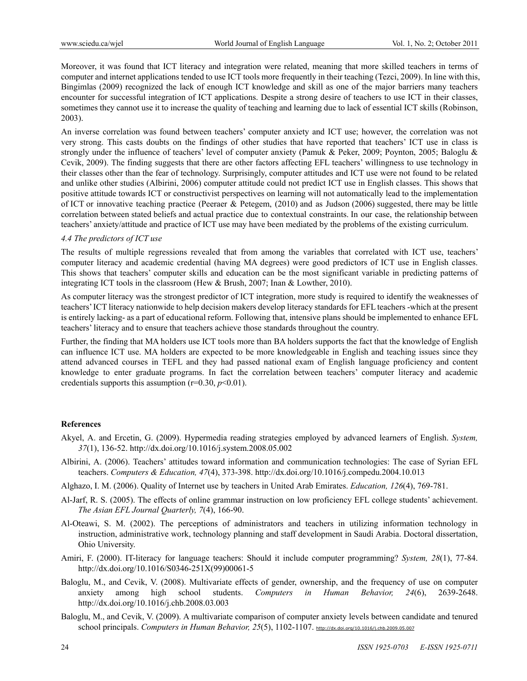Moreover, it was found that ICT literacy and integration were related, meaning that more skilled teachers in terms of computer and internet applications tended to use ICT tools more frequently in their teaching (Tezci, 2009). In line with this, Bingimlas (2009) recognized the lack of enough ICT knowledge and skill as one of the major barriers many teachers encounter for successful integration of ICT applications. Despite a strong desire of teachers to use ICT in their classes, sometimes they cannot use it to increase the quality of teaching and learning due to lack of essential ICT skills (Robinson, 2003).

An inverse correlation was found between teachers' computer anxiety and ICT use; however, the correlation was not very strong. This casts doubts on the findings of other studies that have reported that teachers' ICT use in class is strongly under the influence of teachers' level of computer anxiety (Pamuk & Peker, 2009; Poynton, 2005; Baloglu & Cevik, 2009). The finding suggests that there are other factors affecting EFL teachers' willingness to use technology in their classes other than the fear of technology. Surprisingly, computer attitudes and ICT use were not found to be related and unlike other studies (Albirini, 2006) computer attitude could not predict ICT use in English classes. This shows that positive attitude towards ICT or constructivist perspectives on learning will not automatically lead to the implementation of ICT or innovative teaching practice (Peeraer & Petegem, (2010) and as Judson (2006) suggested, there may be little correlation between stated beliefs and actual practice due to contextual constraints. In our case, the relationship between teachers' anxiety/attitude and practice of ICT use may have been mediated by the problems of the existing curriculum.

#### *4.4 The predictors of ICT use*

The results of multiple regressions revealed that from among the variables that correlated with ICT use, teachers' computer literacy and academic credential (having MA degrees) were good predictors of ICT use in English classes. This shows that teachers' computer skills and education can be the most significant variable in predicting patterns of integrating ICT tools in the classroom (Hew & Brush, 2007; Inan & Lowther, 2010).

As computer literacy was the strongest predictor of ICT integration, more study is required to identify the weaknesses of teachers' ICT literacy nationwide to help decision makers develop literacy standards for EFL teachers -which at the present is entirely lacking- as a part of educational reform. Following that, intensive plans should be implemented to enhance EFL teachers' literacy and to ensure that teachers achieve those standards throughout the country.

Further, the finding that MA holders use ICT tools more than BA holders supports the fact that the knowledge of English can influence ICT use. MA holders are expected to be more knowledgeable in English and teaching issues since they attend advanced courses in TEFL and they had passed national exam of English language proficiency and content knowledge to enter graduate programs. In fact the correlation between teachers' computer literacy and academic credentials supports this assumption  $(r=0.30, p<0.01)$ .

#### **References**

- Akyel, A. and Ercetin, G. (2009). Hypermedia reading strategies employed by advanced learners of English. *System, 37*(1), 136-52. http://dx.doi.org/10.1016/j.system.2008.05.002
- Albirini, A. (2006). Teachers' attitudes toward information and communication technologies: The case of Syrian EFL teachers. *Computers & Education, 47*(4), 373-398. http://dx.doi.org/10.1016/j.compedu.2004.10.013
- Alghazo, I. M. (2006). Quality of Internet use by teachers in United Arab Emirates. *Education, 126*(4), 769-781.
- Al-Jarf, R. S. (2005). The effects of online grammar instruction on low proficiency EFL college students' achievement. *The Asian EFL Journal Quarterly, 7*(4), 166-90.
- Al-Oteawi, S. M. (2002). The perceptions of administrators and teachers in utilizing information technology in instruction, administrative work, technology planning and staff development in Saudi Arabia. Doctoral dissertation, Ohio University.
- Amiri, F. (2000). IT-literacy for language teachers: Should it include computer programming? *System, 28*(1), 77-84. http://dx.doi.org/10.1016/S0346-251X(99)00061-5
- Baloglu, M., and Cevik, V. (2008). Multivariate effects of gender, ownership, and the frequency of use on computer anxiety among high school students. *Computers in Human Behavior, 24*(6), 2639-2648. http://dx.doi.org/10.1016/j.chb.2008.03.003
- Baloglu, M., and Cevik, V. (2009). A multivariate comparison of computer anxiety levels between candidate and tenured school principals. *Computers in Human Behavior*, 25(5), 1102-1107. http://dx.doi.org/10.1016/j.chb.2009.05.007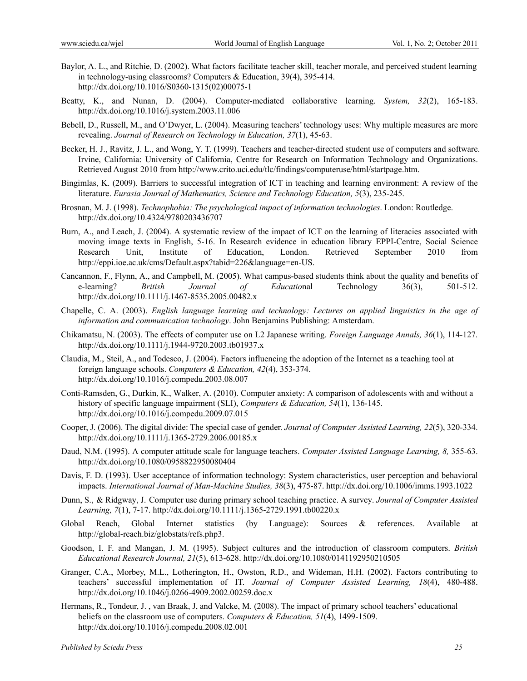- Baylor, A. L., and Ritchie, D. (2002). What factors facilitate teacher skill, teacher morale, and perceived student learning in technology-using classrooms? Computers & Education, 39(4), 395-414. http://dx.doi.org/10.1016/S0360-1315(02)00075-1
- Beatty, K., and Nunan, D. (2004). Computer-mediated collaborative learning. *System, 32*(2), 165-183. http://dx.doi.org/10.1016/j.system.2003.11.006
- Bebell, D., Russell, M., and O'Dwyer, L. (2004). Measuring teachers' technology uses: Why multiple measures are more revealing. *Journal of Research on Technology in Education, 37*(1), 45-63.
- Becker, H. J., Ravitz, J. L., and Wong, Y. T. (1999). Teachers and teacher-directed student use of computers and software. Irvine, California: University of California, Centre for Research on Information Technology and Organizations. Retrieved August 2010 from http://www.crito.uci.edu/tlc/findings/computeruse/html/startpage.htm.
- Bingimlas, K. (2009). Barriers to successful integration of ICT in teaching and learning environment: A review of the literature. *Eurasia Journal of Mathematics, Science and Technology Education, 5*(3), 235-245.
- Brosnan, M. J. (1998). *Technophobia: The psychological impact of information technologies*. London: Routledge. http://dx.doi.org/10.4324/9780203436707
- Burn, A., and Leach, J. (2004). A systematic review of the impact of ICT on the learning of literacies associated with moving image texts in English, 5-16. In Research evidence in education library EPPI-Centre, Social Science Research Unit, Institute of Education, London. Retrieved September 2010 from http://eppi.ioe.ac.uk/cms/Default.aspx?tabid=226&language=en-US.
- Cancannon, F., Flynn, A., and Campbell, M. (2005). What campus-based students think about the quality and benefits of e-learning? *British Journal of Educatio*nal Technology 36(3), 501-512. http://dx.doi.org/10.1111/j.1467-8535.2005.00482.x
- Chapelle, C. A. (2003). *English language learning and technology: Lectures on applied linguistics in the age of information and communication technology*. John Benjamins Publishing: Amsterdam.
- Chikamatsu, N. (2003). The effects of computer use on L2 Japanese writing. *Foreign Language Annals, 36*(1), 114-127. http://dx.doi.org/10.1111/j.1944-9720.2003.tb01937.x
- Claudia, M., Steil, A., and Todesco, J. (2004). Factors influencing the adoption of the Internet as a teaching tool at foreign language schools. *Computers & Education, 42*(4), 353-374. http://dx.doi.org/10.1016/j.compedu.2003.08.007
- Conti-Ramsden, G., Durkin, K., Walker, A. (2010). Computer anxiety: A comparison of adolescents with and without a history of specific language impairment (SLI), *Computers & Education, 54*(1), 136-145. http://dx.doi.org/10.1016/j.compedu.2009.07.015
- Cooper, J. (2006). The digital divide: The special case of gender. *Journal of Computer Assisted Learning, 22*(5), 320-334. http://dx.doi.org/10.1111/j.1365-2729.2006.00185.x
- Daud, N.M. (1995). A computer attitude scale for language teachers. *Computer Assisted Language Learning, 8,* 355-63. http://dx.doi.org/10.1080/0958822950080404
- Davis, F. D. (1993). User acceptance of information technology: System characteristics, user perception and behavioral impacts. *International Journal of Man-Machine Studies, 38*(3), 475-87. http://dx.doi.org/10.1006/imms.1993.1022
- Dunn, S., & Ridgway, J. Computer use during primary school teaching practice. A survey. *Journal of Computer Assisted Learning, 7*(1), 7-17. http://dx.doi.org/10.1111/j.1365-2729.1991.tb00220.x
- Global Reach, Global Internet statistics (by Language): Sources & references. Available at http://global-reach.biz/globstats/refs.php3.
- Goodson, I. F. and Mangan, J. M. (1995). Subject cultures and the introduction of classroom computers. *British Educational Research Journal, 21*(5), 613-628. http://dx.doi.org/10.1080/0141192950210505
- Granger, C.A., Morbey, M.L., Lotherington, H., Owston, R.D., and Wideman, H.H. (2002). Factors contributing to teachers' successful implementation of IT. *Journal of Computer Assisted Learning, 18*(4), 480-488. http://dx.doi.org/10.1046/j.0266-4909.2002.00259.doc.x
- Hermans, R., Tondeur, J. , van Braak, J, and Valcke, M. (2008). The impact of primary school teachers' educational beliefs on the classroom use of computers. *Computers & Education, 51*(4), 1499-1509. http://dx.doi.org/10.1016/j.compedu.2008.02.001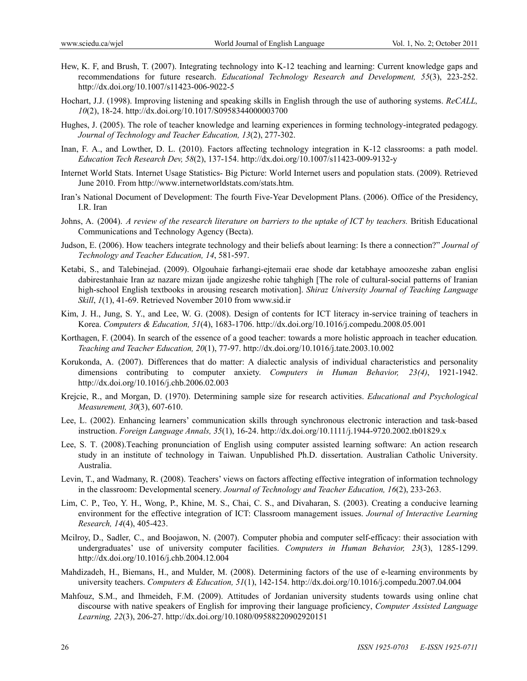- Hew, K. F, and Brush, T. (2007). Integrating technology into K-12 teaching and learning: Current knowledge gaps and recommendations for future research. *Educational Technology Research and Development, 55*(3), 223-252. http://dx.doi.org/10.1007/s11423-006-9022-5
- Hochart, J.J. (1998). Improving listening and speaking skills in English through the use of authoring systems. *ReCALL, 10*(2), 18-24. http://dx.doi.org/10.1017/S0958344000003700
- Hughes, J. (2005). The role of teacher knowledge and learning experiences in forming technology-integrated pedagogy. *Journal of Technology and Teacher Education, 13*(2), 277-302.
- Inan, F. A., and Lowther, D. L. (2010). Factors affecting technology integration in K-12 classrooms: a path model. *Education Tech Research Dev, 58*(2), 137-154. http://dx.doi.org/10.1007/s11423-009-9132-y
- Internet World Stats. Internet Usage Statistics- Big Picture: World Internet users and population stats. (2009). Retrieved June 2010. From http://www.internetworldstats.com/stats.htm.
- Iran's National Document of Development: The fourth Five-Year Development Plans. (2006). Office of the Presidency, I.R. Iran
- Johns, A. (2004). *A review of the research literature on barriers to the uptake of ICT by teachers.* British Educational Communications and Technology Agency (Becta).
- Judson, E. (2006). How teachers integrate technology and their beliefs about learning: Is there a connection?" *Journal of Technology and Teacher Education, 14*, 581-597.
- Ketabi, S., and Talebinejad. (2009). Olgouhaie farhangi-ejtemaii erae shode dar ketabhaye amoozeshe zaban englisi dabirestanhaie Iran az nazare mizan ijade angizeshe rohie tahghigh [The role of cultural-social patterns of Iranian high-school English textbooks in arousing research motivation]. *Shiraz University Journal of Teaching Language Skill*, *1*(1), 41-69. Retrieved November 2010 from www.sid.ir
- Kim, J. H., Jung, S. Y., and Lee, W. G. (2008). Design of contents for ICT literacy in-service training of teachers in Korea. *Computers & Education, 51*(4), 1683-1706. http://dx.doi.org/10.1016/j.compedu.2008.05.001
- Korthagen, F. (2004). In search of the essence of a good teacher: towards a more holistic approach in teacher education*. Teaching and Teacher Education, 20*(1), 77-97. http://dx.doi.org/10.1016/j.tate.2003.10.002
- Korukonda, A. (2007). Differences that do matter: A dialectic analysis of individual characteristics and personality dimensions contributing to computer anxiety. *Computers in Human Behavior, 23(4)*, 1921-1942. http://dx.doi.org/10.1016/j.chb.2006.02.003
- Krejcie, R., and Morgan, D. (1970). Determining sample size for research activities. *Educational and Psychological Measurement, 30*(3), 607-610.
- Lee, L. (2002). Enhancing learners' communication skills through synchronous electronic interaction and task-based instruction. *Foreign Language Annals, 35*(1), 16-24. http://dx.doi.org/10.1111/j.1944-9720.2002.tb01829.x
- Lee, S. T. (2008).Teaching pronunciation of English using computer assisted learning software: An action research study in an institute of technology in Taiwan. Unpublished Ph.D. dissertation. Australian Catholic University. Australia.
- Levin, T., and Wadmany, R. (2008). Teachers' views on factors affecting effective integration of information technology in the classroom: Developmental scenery. *Journal of Technology and Teacher Education, 16*(2), 233-263.
- Lim, C. P., Teo, Y. H., Wong, P., Khine, M. S., Chai, C. S., and Divaharan, S. (2003). Creating a conducive learning environment for the effective integration of ICT: Classroom management issues. *Journal of Interactive Learning Research, 14*(4), 405-423.
- Mcilroy, D., Sadler, C., and Boojawon, N. (2007). Computer phobia and computer self-efficacy: their association with undergraduates' use of university computer facilities. *Computers in Human Behavior, 23*(3), 1285-1299. http://dx.doi.org/10.1016/j.chb.2004.12.004
- Mahdizadeh, H., Biemans, H., and Mulder, M. (2008). Determining factors of the use of e-learning environments by university teachers. *Computers & Education, 51*(1), 142-154. http://dx.doi.org/10.1016/j.compedu.2007.04.004
- Mahfouz, S.M., and Ihmeideh, F.M. (2009). Attitudes of Jordanian university students towards using online chat discourse with native speakers of English for improving their language proficiency, *Computer Assisted Language Learning, 22*(3), 206-27. http://dx.doi.org/10.1080/09588220902920151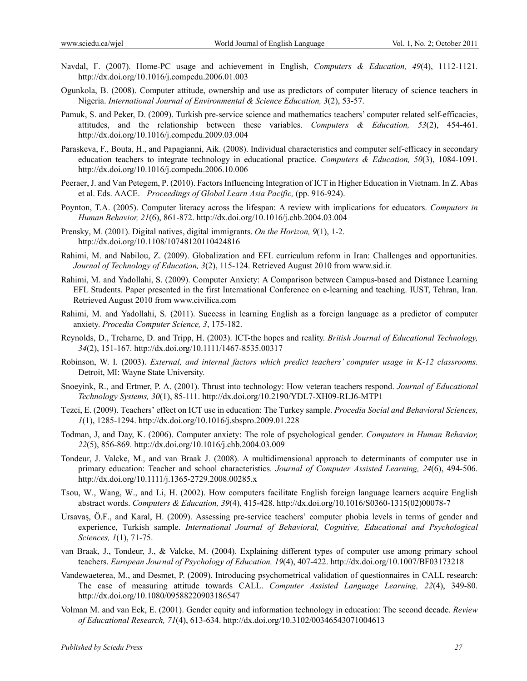- Navdal, F. (2007). Home-PC usage and achievement in English, *Computers & Education, 49*(4), 1112-1121. http://dx.doi.org/10.1016/j.compedu.2006.01.003
- Ogunkola, B. (2008). Computer attitude, ownership and use as predictors of computer literacy of science teachers in Nigeria. *International Journal of Environmental & Science Education, 3*(2), 53-57.
- Pamuk, S. and Peker, D. (2009). Turkish pre-service science and mathematics teachers' computer related self-efficacies, attitudes, and the relationship between these variables. *Computers & Education, 53*(2), 454-461. http://dx.doi.org/10.1016/j.compedu.2009.03.004
- Paraskeva, F., Bouta, H., and Papagianni, Aik. (2008). Individual characteristics and computer self-efficacy in secondary education teachers to integrate technology in educational practice. *Computers & Education, 50*(3), 1084-1091. http://dx.doi.org/10.1016/j.compedu.2006.10.006
- Peeraer, J. and Van Petegem, P. (2010). Factors Influencing Integration of ICT in Higher Education in Vietnam. In Z. Abas et al. Eds. AACE. *Proceedings of Global Learn Asia Pacific,* (pp. 916-924).
- Poynton, T.A. (2005). Computer literacy across the lifespan: A review with implications for educators. *Computers in Human Behavior, 21*(6), 861-872. http://dx.doi.org/10.1016/j.chb.2004.03.004
- Prensky, M. (2001). Digital natives, digital immigrants. *On the Horizon, 9*(1), 1-2. http://dx.doi.org/10.1108/10748120110424816
- Rahimi, M. and Nabilou, Z. (2009). Globalization and EFL curriculum reform in Iran: Challenges and opportunities. *Journal of Technology of Education, 3*(2), 115-124. Retrieved August 2010 from www.sid.ir.
- Rahimi, M. and Yadollahi, S. (2009). Computer Anxiety: A Comparison between Campus-based and Distance Learning EFL Students. Paper presented in the first International Conference on e-learning and teaching. IUST, Tehran, Iran. Retrieved August 2010 from www.civilica.com
- Rahimi, M. and Yadollahi, S. (2011). Success in learning English as a foreign language as a predictor of computer anxiety. *Procedia Computer Science, 3*, 175-182.
- Reynolds, D., Treharne, D. and Tripp, H. (2003). ICT-the hopes and reality. *British Journal of Educational Technology, 34*(2), 151-167. http://dx.doi.org/10.1111/1467-8535.00317
- Robinson, W. I. (2003). *External, and internal factors which predict teachers' computer usage in K-12 classrooms.* Detroit, MI: Wayne State University.
- Snoeyink, R., and Ertmer, P. A. (2001). Thrust into technology: How veteran teachers respond. *Journal of Educational Technology Systems, 30*(1), 85-111. http://dx.doi.org/10.2190/YDL7-XH09-RLJ6-MTP1
- Tezci, E. (2009). Teachers' effect on ICT use in education: The Turkey sample. *Procedia Social and Behavioral Sciences, 1*(1), 1285-1294. http://dx.doi.org/10.1016/j.sbspro.2009.01.228
- Todman, J, and Day, K. (2006). Computer anxiety: The role of psychological gender. *Computers in Human Behavior, 22*(5), 856-869. http://dx.doi.org/10.1016/j.chb.2004.03.009
- Tondeur, J. Valcke, M., and van Braak J. (2008). A multidimensional approach to determinants of computer use in primary education: Teacher and school characteristics. *Journal of Computer Assisted Learning, 24*(6), 494-506. http://dx.doi.org/10.1111/j.1365-2729.2008.00285.x
- Tsou, W., Wang, W., and Li, H. (2002). How computers facilitate English foreign language learners acquire English abstract words. *Computers & Education, 39*(4), 415-428. http://dx.doi.org/10.1016/S0360-1315(02)00078-7
- Ursavaş, Ö.F., and Karal, H. (2009). Assessing pre-service teachers' computer phobia levels in terms of gender and experience, Turkish sample. *International Journal of Behavioral, Cognitive, Educational and Psychological Sciences, 1*(1), 71-75.
- van Braak, J., Tondeur, J., & Valcke, M. (2004). Explaining different types of computer use among primary school teachers. *European Journal of Psychology of Education, 19*(4), 407-422. http://dx.doi.org/10.1007/BF03173218
- Vandewaeterea, M., and Desmet, P. (2009). Introducing psychometrical validation of questionnaires in CALL research: The case of measuring attitude towards CALL. *Computer Assisted Language Learning, 22*(4), 349-80. http://dx.doi.org/10.1080/09588220903186547
- Volman M. and van Eck, E. (2001). Gender equity and information technology in education: The second decade. *Review of Educational Research, 71*(4), 613-634. http://dx.doi.org/10.3102/00346543071004613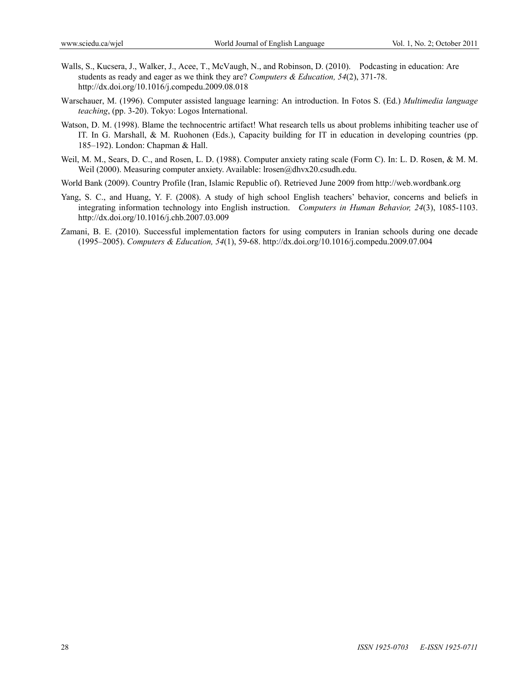- Walls, S., Kucsera, J., Walker, J., Acee, T., McVaugh, N., and Robinson, D. (2010). Podcasting in education: Are students as ready and eager as we think they are? *Computers & Education, 54*(2), 371-78. http://dx.doi.org/10.1016/j.compedu.2009.08.018
- Warschauer, M. (1996). Computer assisted language learning: An introduction. In Fotos S. (Ed.) *Multimedia language teaching*, (pp. 3-20). Tokyo: Logos International.
- Watson, D. M. (1998). Blame the technocentric artifact! What research tells us about problems inhibiting teacher use of IT. In G. Marshall, & M. Ruohonen (Eds.), Capacity building for IT in education in developing countries (pp. 185–192). London: Chapman & Hall.
- Weil, M. M., Sears, D. C., and Rosen, L. D. (1988). Computer anxiety rating scale (Form C). In: L. D. Rosen, & M. M. Weil (2000). Measuring computer anxiety. Available: lrosen@dhvx20.csudh.edu.
- World Bank (2009). Country Profile (Iran, Islamic Republic of). Retrieved June 2009 from http://web.wordbank.org
- Yang, S. C., and Huang, Y. F. (2008). A study of high school English teachers' behavior, concerns and beliefs in integrating information technology into English instruction. *Computers in Human Behavior, 24*(3), 1085-1103. http://dx.doi.org/10.1016/j.chb.2007.03.009
- Zamani, B. E. (2010). Successful implementation factors for using computers in Iranian schools during one decade (1995–2005). *Computers & Education, 54*(1), 59-68. http://dx.doi.org/10.1016/j.compedu.2009.07.004